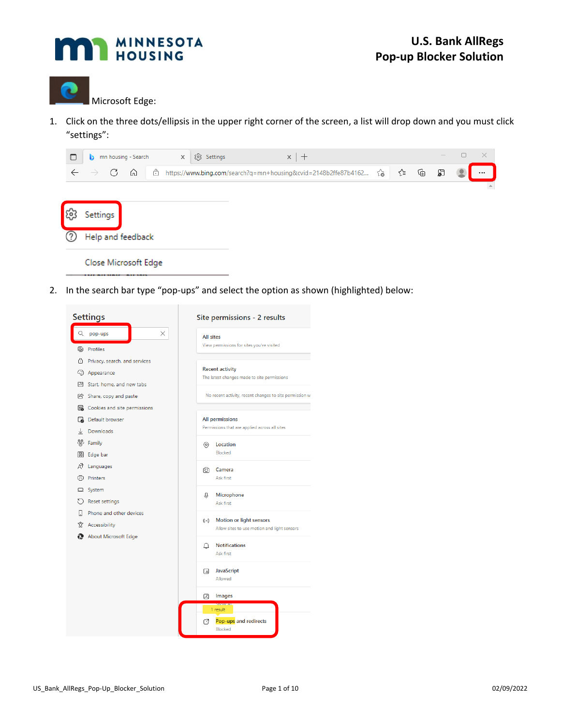



1. Click on the three dots/ellipsis in the upper right corner of the screen, a list will drop down and you must click "settings":

| c                    | ы                  | mn housing - Search |   | 83 Settings<br>$\times$                                        |  | $\times$   + |           |   |   |   | $\times$ |
|----------------------|--------------------|---------------------|---|----------------------------------------------------------------|--|--------------|-----------|---|---|---|----------|
|                      | G<br>$\rightarrow$ | ⋒                   | Ä | https://www.bing.com/search?q=mn+housing&cvid=2148b2ffe87b4162 |  |              | $\vec{c}$ | ☆ | ⊕ | ව |          |
|                      |                    |                     |   |                                                                |  |              |           |   |   |   | $\Delta$ |
| 55                   | Settings           |                     |   |                                                                |  |              |           |   |   |   |          |
|                      | Help and feedback  |                     |   |                                                                |  |              |           |   |   |   |          |
| Close Microsoft Edge |                    |                     |   |                                                                |  |              |           |   |   |   |          |

2. In the search bar type "pop-ups" and select the option as shown (highlighted) below:

|       | <b>Settings</b>                       | Site permissions - 2 results                                                          |
|-------|---------------------------------------|---------------------------------------------------------------------------------------|
| Q     | X<br>pop-ups                          | <b>All sites</b>                                                                      |
| 81    | Profiles                              | View permissions for sites you've visited                                             |
| A     | Privacy, search, and services         |                                                                                       |
|       | <sup></sup> ට Appearance              | <b>Recent activity</b>                                                                |
| E     | Start, home, and new tabs             | The latest changes made to site permissions                                           |
| B     | Share, copy and paste                 | No recent activity, recent changes to site permission w                               |
|       | <b>B</b> Cookies and site permissions |                                                                                       |
| డె    | Default browser                       | All permissions                                                                       |
| ↓     | Downloads                             | Permissions that are applied across all sites                                         |
| ്റ്റ് | Family                                | ◎<br>Location                                                                         |
| 丽     | Edge bar                              | Blocked                                                                               |
| ΔŤ    | Languages                             | ा<br>Camera                                                                           |
| क़    | Printers                              | Ask first                                                                             |
| ▭     | System                                |                                                                                       |
|       | <b>Reset settings</b>                 | J,<br><b>Microphone</b><br>Ask first                                                  |
| IJ    | Phone and other devices               |                                                                                       |
| ₩     | Accessibility                         | Motion or light sensors<br>$((\cdot))$<br>Allow sites to use motion and light sensors |
|       | About Microsoft Edge                  |                                                                                       |
|       |                                       | <b>Notifications</b><br>Δ                                                             |
|       |                                       | Ask first                                                                             |
|       |                                       | <b>JavaScript</b><br>ß                                                                |
|       |                                       | Allowed                                                                               |
|       |                                       | Images<br>⊠                                                                           |
|       |                                       | 1 result                                                                              |
|       |                                       | Pop-ups and redirects<br>rz<br>Blocked                                                |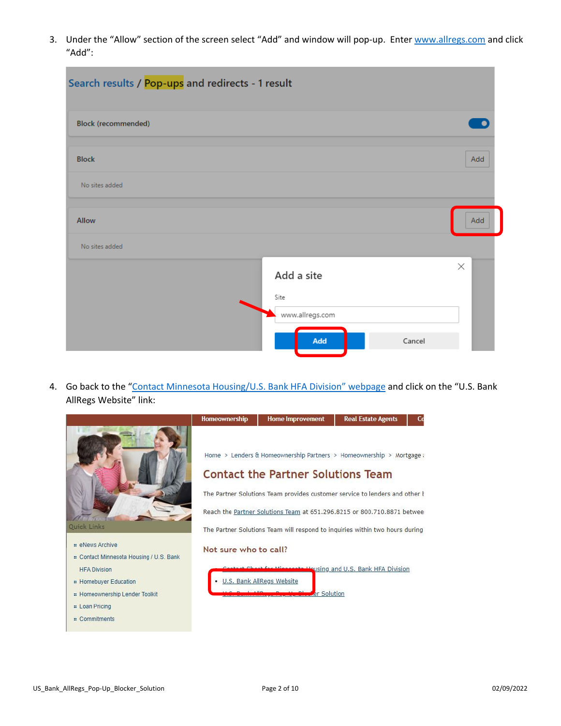3. Under the "Allow" section of the screen select "Add" and window will pop-up. Ente[r www.allregs.com](http://www.allregs.com/) and click "Add":

| Search results / Pop-ups and redirects - 1 result |                 |        |          |
|---------------------------------------------------|-----------------|--------|----------|
| <b>Block (recommended)</b>                        |                 |        |          |
| <b>Block</b>                                      |                 |        | Add      |
| No sites added                                    |                 |        |          |
| <b>Allow</b>                                      |                 |        | Add      |
| No sites added                                    |                 |        |          |
|                                                   | Add a site      |        | $\times$ |
|                                                   | Site            |        |          |
|                                                   | www.allregs.com |        |          |
|                                                   | Add             | Cancel |          |

4. Go back to the ["Contact Minnesota Housing/U.S. Bank HFA Division" web](https://www.mnhousing.gov/sites/Satellite?c=Page&cid=1364485315538&d=Touch&pagename=External%2FPage%2FEXTStandardLayout)page and click on the "U.S. Bank AllRegs Website" link:

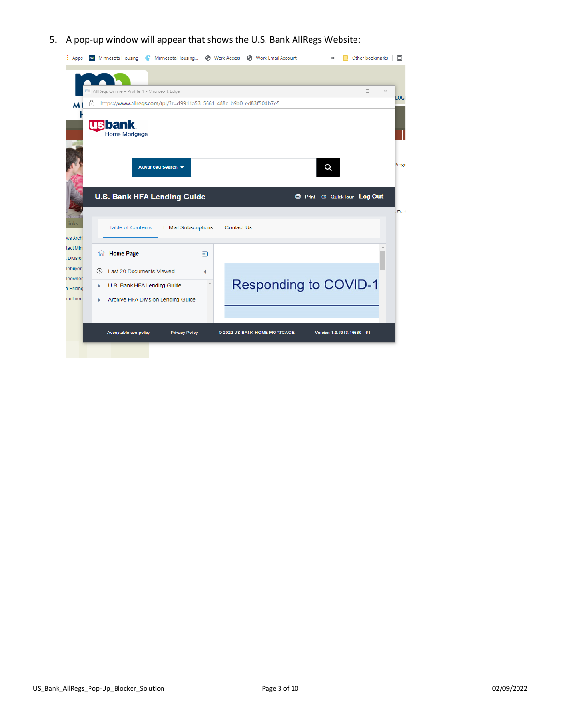## 5. A pop-up window will appear that shows the U.S. Bank AllRegs Website:

| <b>E</b> Apps                |   | m Minnesota Housing                                                 |                             |          |            | Minnesota Housing (3) Work Access (3) Work Email Account | $^{35}$                     | Other bookmarks | 囲     |
|------------------------------|---|---------------------------------------------------------------------|-----------------------------|----------|------------|----------------------------------------------------------|-----------------------------|-----------------|-------|
|                              |   |                                                                     |                             |          |            |                                                          |                             |                 |       |
|                              |   | EW AllRegs Online - Profile 1 - Microsoft Edge                      |                             |          |            |                                                          |                             | $\Box$          | X     |
| M                            | Ä | https://www.allregs.com/tpl/?r=d9911a53-5661-488c-b9b0-ed83f50db7e5 |                             |          |            |                                                          |                             |                 | LOGI  |
|                              |   | <b>usbank</b><br><b>Home Mortgage</b>                               |                             |          |            |                                                          |                             |                 |       |
|                              |   |                                                                     | Advanced Search -           |          |            |                                                          | Q                           |                 | Progr |
|                              |   | <b>U.S. Bank HFA Lending Guide</b>                                  |                             |          |            |                                                          | Print 7 QuickTour Log Out   |                 | .m. c |
| inks<br>ws Archi             |   | <b>Table of Contents</b>                                            | <b>E-Mail Subscriptions</b> |          | Contact Us |                                                          |                             |                 |       |
| tact Mini<br><b>Division</b> | 6 | <b>Home Page</b>                                                    |                             | $\equiv$ |            |                                                          |                             |                 |       |
| <b>rebuyer</b>               | Θ | Last 20 Documents Viewed                                            |                             | 4        |            |                                                          |                             |                 |       |
| <b>reowner</b><br>n Pricing  | Þ | U.S. Bank HFA Lending Guide                                         |                             |          |            | <b>Responding to COVID-1</b>                             |                             |                 |       |
| <b>mitmen</b>                | ь | Archive HFA Division Lending Guide                                  |                             |          |            |                                                          |                             |                 |       |
|                              |   |                                                                     |                             |          |            |                                                          |                             |                 |       |
|                              |   | <b>Acceptable use policy</b>                                        | <b>Privacy Policy</b>       |          |            | @ 2022 US BANK HOME MORTGAGE                             | Version 1.0.7913.16530 - 64 |                 |       |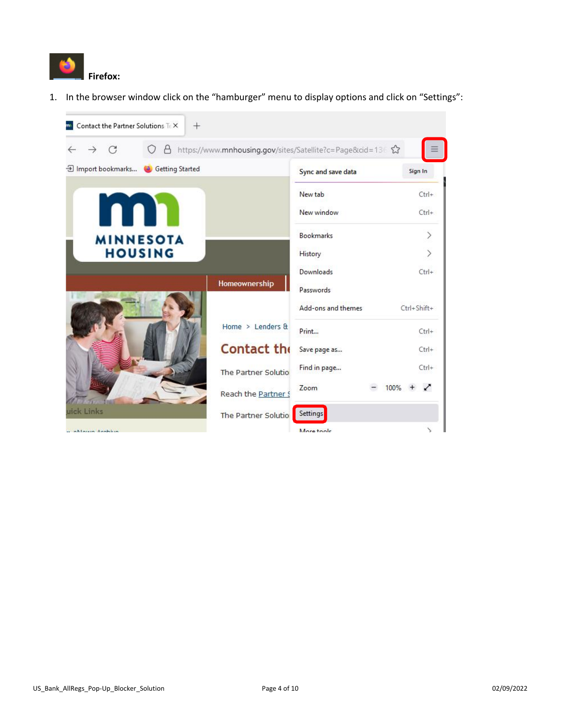

1. In the browser window click on the "hamburger" menu to display options and click on "Settings":

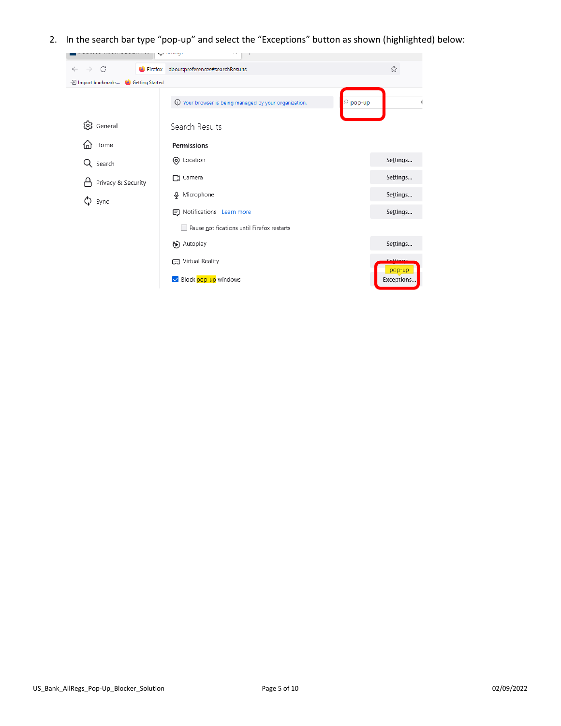2. In the search bar type "pop-up" and select the "Exceptions" button as shown (highlighted) below:

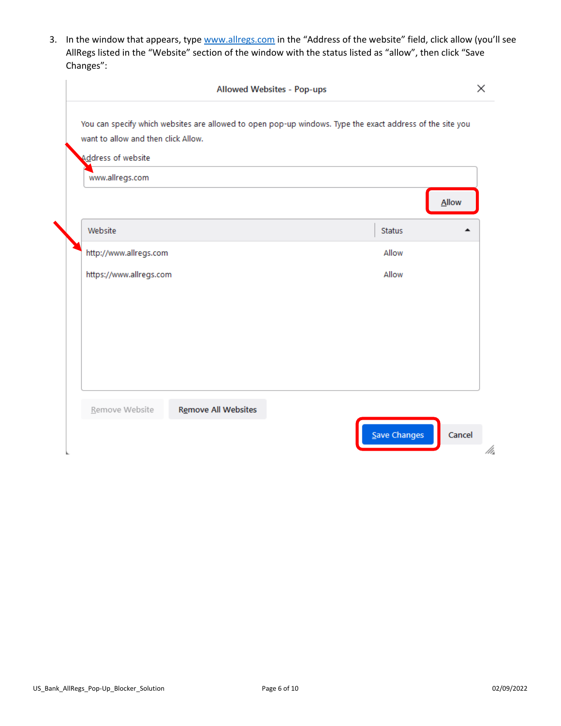3. In the window that appears, type [www.allregs.com](http://www.allregs.com/) in the "Address of the website" field, click allow (you'll see AllRegs listed in the "Website" section of the window with the status listed as "allow", then click "Save Changes":

|                                     | You can specify which websites are allowed to open pop-up windows. Type the exact address of the site you |               |
|-------------------------------------|-----------------------------------------------------------------------------------------------------------|---------------|
| want to allow and then click Allow. |                                                                                                           |               |
| Address of website                  |                                                                                                           |               |
| www.allregs.com                     |                                                                                                           |               |
|                                     |                                                                                                           | <b>Allow</b>  |
| Website                             |                                                                                                           | <b>Status</b> |
| http://www.allregs.com              |                                                                                                           | Allow         |
| https://www.allregs.com             |                                                                                                           | Allow         |
|                                     |                                                                                                           |               |
|                                     |                                                                                                           |               |
|                                     |                                                                                                           |               |
|                                     |                                                                                                           |               |
|                                     |                                                                                                           |               |
|                                     |                                                                                                           |               |
| Remove Website                      | <b>Remove All Websites</b>                                                                                |               |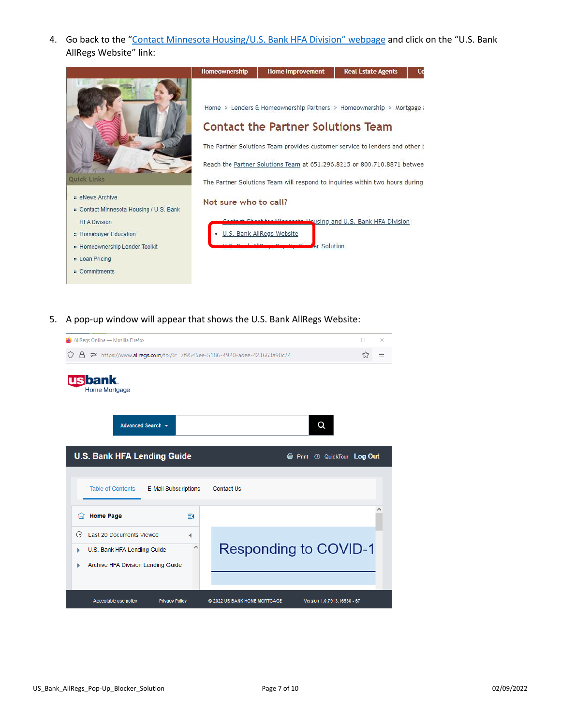4. Go back to the ["Contact Minnesota Housing/U.S. Bank HFA Division" web](https://www.mnhousing.gov/sites/Satellite?c=Page&cid=1364485315538&d=Touch&pagename=External%2FPage%2FEXTStandardLayout)page and click on the "U.S. Bank AllRegs Website" link:



5. A pop-up window will appear that shows the U.S. Bank AllRegs Website:

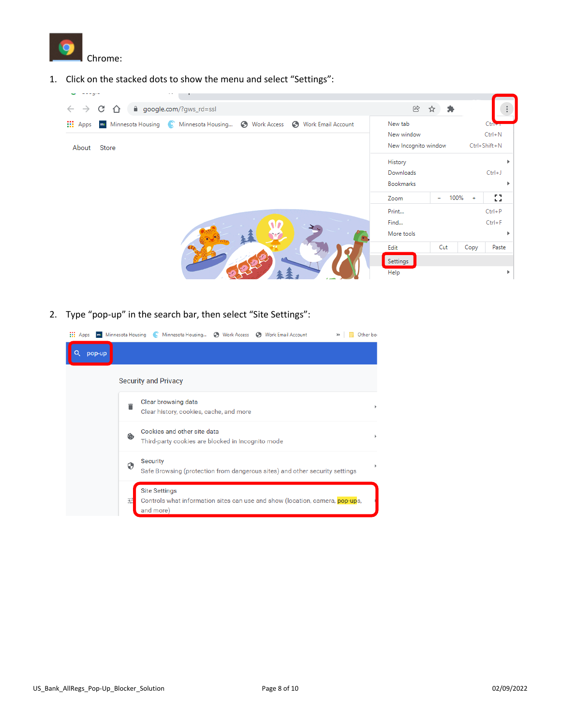

1. Click on the stacked dots to show the menu and select "Settings":



2. Type "pop-up" in the search bar, then select "Site Settings":

| <b>HI</b> Apps | m Minnesota Housing Minnesota Housing < Work Access < Work Email Account<br>Other bor                                  |  |
|----------------|------------------------------------------------------------------------------------------------------------------------|--|
| Q<br>pop-up    |                                                                                                                        |  |
|                | <b>Security and Privacy</b>                                                                                            |  |
|                | Clear browsing data<br>Clear history, cookies, cache, and more                                                         |  |
|                | Cookies and other site data<br>۵<br>Third-party cookies are blocked in Incognito mode                                  |  |
|                | Security<br>0<br>Safe Browsing (protection from dangerous sites) and other security settings                           |  |
|                | <b>Site Settings</b><br>괢<br>Controls what information sites can use and show (location, camera, pop-ups,<br>and more) |  |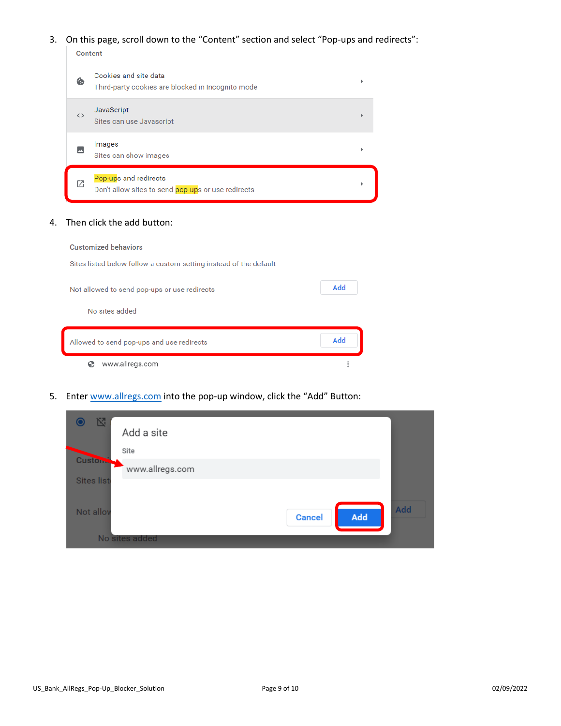## 3. On this page, scroll down to the "Content" section and select "Pop-ups and redirects":

|                   | Content                                                                     |  |  |  |  |
|-------------------|-----------------------------------------------------------------------------|--|--|--|--|
| ቈ                 | Cookies and site data<br>Third-party cookies are blocked in Incognito mode  |  |  |  |  |
| $\leftrightarrow$ | <b>JavaScript</b><br>Sites can use Javascript                               |  |  |  |  |
|                   | Images<br>Sites can show images                                             |  |  |  |  |
| Г7                | Pop-ups and redirects<br>Don't allow sites to send pop-ups or use redirects |  |  |  |  |

## 4. Then click the add button:

## **Customized behaviors**

Sites listed below follow a custom setting instead of the default

| Not allowed to send pop-ups or use redirects | Add |
|----------------------------------------------|-----|
| No sites added                               |     |
| Allowed to send pop-ups and use redirects    | Add |
| www.allregs.com                              |     |

5. Ente[r www.allregs.com](http://www.allregs.com/) into the pop-up window, click the "Add" Button:

| 囵<br>Add a site           |                             |
|---------------------------|-----------------------------|
| Site                      |                             |
| Custom<br>www.allregs.com |                             |
| <b>Sites list</b>         |                             |
| Not allov                 | Add<br>Add<br><b>Cancel</b> |
| No sites added            |                             |